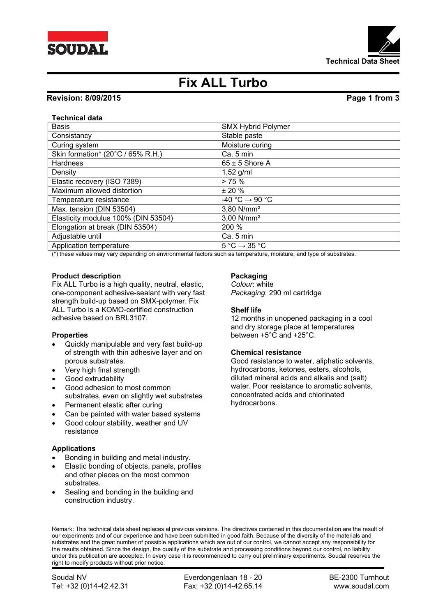



# **Fix ALL Turbo**

# **Revision: 8/09/2015 Page 1 from 3**

# **Technical data**

| <b>Basis</b>                        | <b>SMX Hybrid Polymer</b>                   |
|-------------------------------------|---------------------------------------------|
| Consistancy                         | Stable paste                                |
| Curing system                       | Moisture curing                             |
| Skin formation* (20°C / 65% R.H.)   | Ca. 5 min                                   |
| Hardness                            | $65 \pm 5$ Shore A                          |
| Density                             | $1,52$ g/ml                                 |
| Elastic recovery (ISO 7389)         | > 75%                                       |
| Maximum allowed distortion          | $± 20 \%$                                   |
| Temperature resistance              | -40 °C $\rightarrow$ 90 °C                  |
| Max. tension (DIN 53504)            | 3,80 N/mm <sup>2</sup>                      |
| Elasticity modulus 100% (DIN 53504) | 3,00 N/mm <sup>2</sup>                      |
| Elongation at break (DIN 53504)     | 200 %                                       |
| Adjustable until                    | Ca. 5 min                                   |
| Application temperature             | $5^{\circ}$ C $\rightarrow$ 35 $^{\circ}$ C |

(\*) these values may vary depending on environmental factors such as temperature, moisture, and type of substrates.

### **Product description**

Fix ALL Turbo is a high quality, neutral, elastic, one-component adhesive-sealant with very fast strength build-up based on SMX-polymer. Fix ALL Turbo is a KOMO-certified construction adhesive based on BRL3107.

### **Properties**

- Quickly manipulable and very fast build-up of strength with thin adhesive layer and on porous substrates.
- Very high final strength
- Good extrudability
- Good adhesion to most common substrates, even on slightly wet substrates
- Permanent elastic after curing
- Can be painted with water based systems
- Good colour stability, weather and UV resistance

### **Applications**

- Bonding in building and metal industry.
- Elastic bonding of objects, panels, profiles and other pieces on the most common substrates.
- Sealing and bonding in the building and construction industry.

# **Packaging**

*Colour*: white *Packaging*: 290 ml cartridge

# **Shelf life**

12 months in unopened packaging in a cool and dry storage place at temperatures between +5°C and +25°C.

### **Chemical resistance**

Good resistance to water, aliphatic solvents, hydrocarbons, ketones, esters, alcohols, diluted mineral acids and alkalis and (salt) water. Poor resistance to aromatic solvents, concentrated acids and chlorinated hydrocarbons.

Remark: This technical data sheet replaces al previous versions. The directives contained in this documentation are the result of our experiments and of our experience and have been submitted in good faith. Because of the diversity of the materials and substrates and the great number of possible applications which are out of our control, we cannot accept any responsibility for the results obtained. Since the design, the quality of the substrate and processing conditions beyond our control, no liability under this publication are accepted. In every case it is recommended to carry out preliminary experiments. Soudal reserves the right to modify products without prior notice.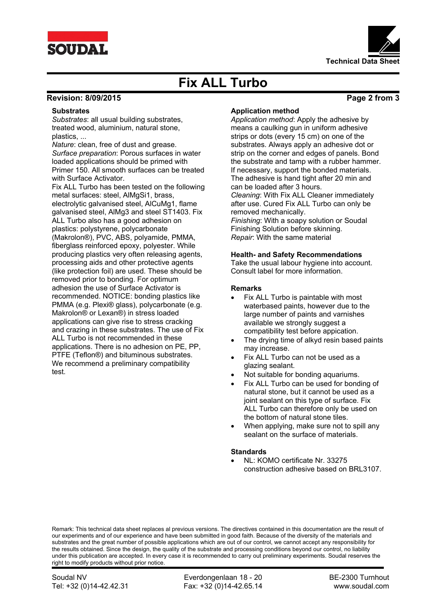



# **Fix ALL Turbo**

# **Revision: 8/09/2015 Page 2 from 3**

# **Substrates**

*Substrates*: all usual building substrates, treated wood, aluminium, natural stone, plastics, ...

*Nature*: clean, free of dust and grease. *Surface preparation*: Porous surfaces in water loaded applications should be primed with Primer 150. All smooth surfaces can be treated with Surface Activator.

Fix ALL Turbo has been tested on the following metal surfaces: steel, AlMgSi1, brass, electrolytic galvanised steel, AlCuMg1, flame galvanised steel, AlMg3 and steel ST1403. Fix ALL Turbo also has a good adhesion on plastics: polystyrene, polycarbonate (Makrolon®), PVC, ABS, polyamide, PMMA, fiberglass reinforced epoxy, polyester. While producing plastics very often releasing agents, processing aids and other protective agents (like protection foil) are used. These should be removed prior to bonding. For optimum adhesion the use of Surface Activator is recommended. NOTICE: bonding plastics like PMMA (e.g. Plexi® glass), polycarbonate (e.g. Makrolon® or Lexan®) in stress loaded applications can give rise to stress cracking and crazing in these substrates. The use of Fix ALL Turbo is not recommended in these applications. There is no adhesion on PE, PP, PTFE (Teflon®) and bituminous substrates. We recommend a preliminary compatibility test.

# **Application method**

*Application method*: Apply the adhesive by means a caulking gun in uniform adhesive strips or dots (every 15 cm) on one of the substrates. Always apply an adhesive dot or strip on the corner and edges of panels. Bond the substrate and tamp with a rubber hammer. If necessary, support the bonded materials. The adhesive is hand tight after 20 min and can be loaded after 3 hours.

*Cleaning*: With Fix ALL Cleaner immediately after use. Cured Fix ALL Turbo can only be removed mechanically.

*Finishing*: With a soapy solution or Soudal Finishing Solution before skinning. *Repair*: With the same material

# **Health- and Safety Recommendations**

Take the usual labour hygiene into account. Consult label for more information.

# **Remarks**

- Fix ALL Turbo is paintable with most waterbased paints, however due to the large number of paints and varnishes available we strongly suggest a compatibility test before appication.
- The drying time of alkyd resin based paints may increase.
- Fix ALL Turbo can not be used as a glazing sealant.
- Not suitable for bonding aquariums.
- Fix ALL Turbo can be used for bonding of natural stone, but it cannot be used as a joint sealant on this type of surface. Fix ALL Turbo can therefore only be used on the bottom of natural stone tiles.
- When applying, make sure not to spill any sealant on the surface of materials.

### **Standards**

 NL: KOMO certificate Nr. 33275 construction adhesive based on BRL3107.

Remark: This technical data sheet replaces al previous versions. The directives contained in this documentation are the result of our experiments and of our experience and have been submitted in good faith. Because of the diversity of the materials and substrates and the great number of possible applications which are out of our control, we cannot accept any responsibility for the results obtained. Since the design, the quality of the substrate and processing conditions beyond our control, no liability under this publication are accepted. In every case it is recommended to carry out preliminary experiments. Soudal reserves the right to modify products without prior notice.